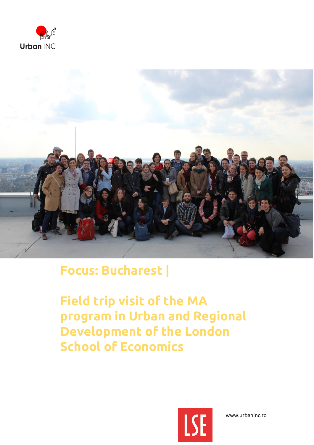



## **Focus: Bucharest |**

**Field trip visit of the MA program in Urban and Regional Development of the London School of Economics** 



www.urbaninc.ro